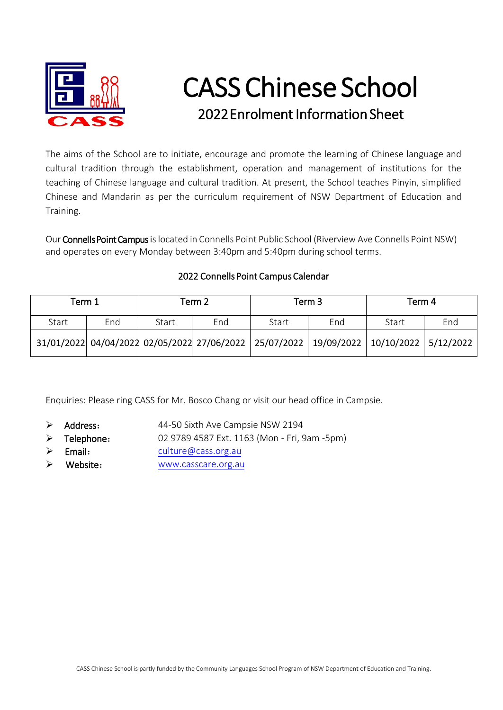

## CASS Chinese School 2022Enrolment Information Sheet

The aims of the School are to initiate, encourage and promote the learning of Chinese language and cultural tradition through the establishment, operation and management of institutions for the teaching of Chinese language and cultural tradition. At present, the School teaches Pinyin, simplified Chinese and Mandarin as per the curriculum requirement of NSW Department of Education and Training.

Our Connells Point Campus is located in Connells Point Public School (Riverview Ave Connells Point NSW) and operates on every Monday between 3:40pm and 5:40pm during school terms.

## 2022 Connells Point Campus Calendar

| Term 1 |     | Term 2 |     | Term <sub>3</sub>                                                                      |     | Term 4 |     |
|--------|-----|--------|-----|----------------------------------------------------------------------------------------|-----|--------|-----|
| Start  | End | Start  | End | Start                                                                                  | End | Start  | End |
|        |     |        |     | 31/01/2022 04/04/2022 02/05/2022 27/06/2022 25/07/2022 19/09/2022 10/10/2022 5/12/2022 |     |        |     |

Enquiries: Please ring CASS for Mr. Bosco Chang or visit our head office in Campsie.

- $\triangleright$  Address: 44-50 Sixth Ave Campsie NSW 2194
- $\triangleright$  Telephone: 02 9789 4587 Ext. 1163 (Mon - Fri, 9am -5pm)
- $\triangleright$  Email: [culture@cass.org.au](mailto:culture@cass.org.au)
- Website: [www.casscare.org.au](http://www.casscare.org.au/)